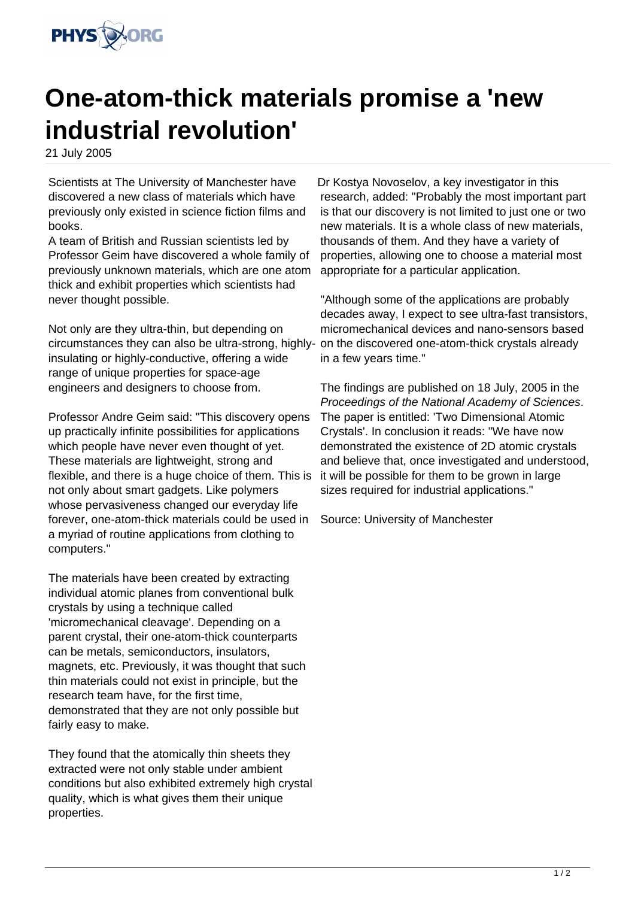

## **One-atom-thick materials promise a 'new industrial revolution'**

21 July 2005

Scientists at The University of Manchester have discovered a new class of materials which have previously only existed in science fiction films and books.

A team of British and Russian scientists led by Professor Geim have discovered a whole family of previously unknown materials, which are one atom thick and exhibit properties which scientists had never thought possible.

Not only are they ultra-thin, but depending on circumstances they can also be ultra-strong, highlyinsulating or highly-conductive, offering a wide range of unique properties for space-age engineers and designers to choose from.

Professor Andre Geim said: "This discovery opens up practically infinite possibilities for applications which people have never even thought of yet. These materials are lightweight, strong and flexible, and there is a huge choice of them. This is not only about smart gadgets. Like polymers whose pervasiveness changed our everyday life forever, one-atom-thick materials could be used in a myriad of routine applications from clothing to computers."

The materials have been created by extracting individual atomic planes from conventional bulk crystals by using a technique called 'micromechanical cleavage'. Depending on a parent crystal, their one-atom-thick counterparts can be metals, semiconductors, insulators, magnets, etc. Previously, it was thought that such thin materials could not exist in principle, but the research team have, for the first time, demonstrated that they are not only possible but fairly easy to make.

They found that the atomically thin sheets they extracted were not only stable under ambient conditions but also exhibited extremely high crystal quality, which is what gives them their unique properties.

Dr Kostya Novoselov, a key investigator in this research, added: "Probably the most important part is that our discovery is not limited to just one or two new materials. It is a whole class of new materials, thousands of them. And they have a variety of properties, allowing one to choose a material most appropriate for a particular application.

"Although some of the applications are probably decades away, I expect to see ultra-fast transistors, micromechanical devices and nano-sensors based on the discovered one-atom-thick crystals already in a few years time."

The findings are published on 18 July, 2005 in the Proceedings of the National Academy of Sciences. The paper is entitled: 'Two Dimensional Atomic Crystals'. In conclusion it reads: "We have now demonstrated the existence of 2D atomic crystals and believe that, once investigated and understood, it will be possible for them to be grown in large sizes required for industrial applications."

Source: University of Manchester